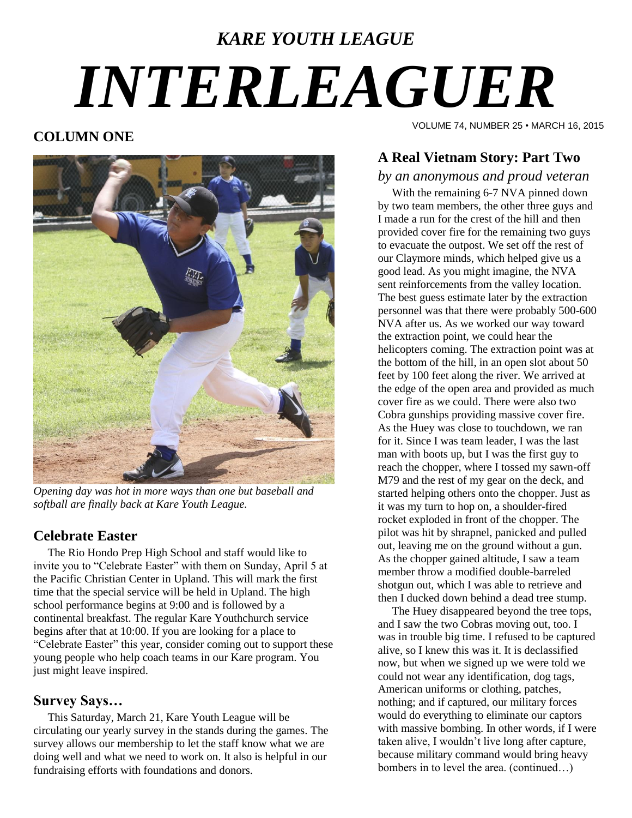# *KARE YOUTH LEAGUE INTERLEAGUER*

#### **COLUMN ONE**



*Opening day was hot in more ways than one but baseball and softball are finally back at Kare Youth League.*

#### **Celebrate Easter**

 The Rio Hondo Prep High School and staff would like to invite you to "Celebrate Easter" with them on Sunday, April 5 at the Pacific Christian Center in Upland. This will mark the first time that the special service will be held in Upland. The high school performance begins at 9:00 and is followed by a continental breakfast. The regular Kare Youthchurch service begins after that at 10:00. If you are looking for a place to "Celebrate Easter" this year, consider coming out to support these young people who help coach teams in our Kare program. You just might leave inspired.

#### **Survey Says…**

 This Saturday, March 21, Kare Youth League will be circulating our yearly survey in the stands during the games. The survey allows our membership to let the staff know what we are doing well and what we need to work on. It also is helpful in our fundraising efforts with foundations and donors.

VOLUME 74, NUMBER 25 • MARCH 16, 2015

### **A Real Vietnam Story: Part Two**

#### *by an anonymous and proud veteran*

 With the remaining 6-7 NVA pinned down by two team members, the other three guys and I made a run for the crest of the hill and then provided cover fire for the remaining two guys to evacuate the outpost. We set off the rest of our Claymore minds, which helped give us a good lead. As you might imagine, the NVA sent reinforcements from the valley location. The best guess estimate later by the extraction personnel was that there were probably 500-600 NVA after us. As we worked our way toward the extraction point, we could hear the helicopters coming. The extraction point was at the bottom of the hill, in an open slot about 50 feet by 100 feet along the river. We arrived at the edge of the open area and provided as much cover fire as we could. There were also two Cobra gunships providing massive cover fire. As the Huey was close to touchdown, we ran for it. Since I was team leader, I was the last man with boots up, but I was the first guy to reach the chopper, where I tossed my sawn-off M79 and the rest of my gear on the deck, and started helping others onto the chopper. Just as it was my turn to hop on, a shoulder-fired rocket exploded in front of the chopper. The pilot was hit by shrapnel, panicked and pulled out, leaving me on the ground without a gun. As the chopper gained altitude, I saw a team member throw a modified double-barreled shotgun out, which I was able to retrieve and then I ducked down behind a dead tree stump.

 The Huey disappeared beyond the tree tops, and I saw the two Cobras moving out, too. I was in trouble big time. I refused to be captured alive, so I knew this was it. It is declassified now, but when we signed up we were told we could not wear any identification, dog tags, American uniforms or clothing, patches, nothing; and if captured, our military forces would do everything to eliminate our captors with massive bombing. In other words, if I were taken alive, I wouldn't live long after capture, because military command would bring heavy bombers in to level the area. (continued…)